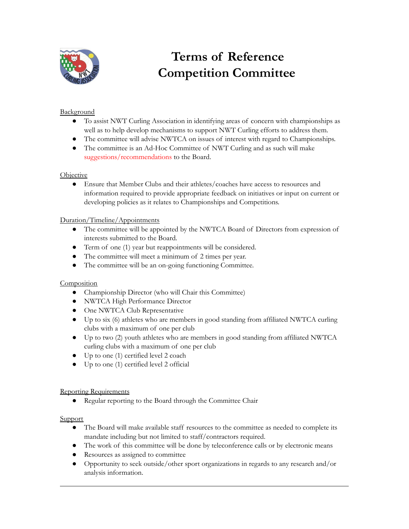

# **Terms of Reference Competition Committee**

## Background

- To assist NWT Curling Association in identifying areas of concern with championships as well as to help develop mechanisms to support NWT Curling efforts to address them.
- The committee will advise NWTCA on issues of interest with regard to Championships.
- The committee is an Ad-Hoc Committee of NWT Curling and as such will make suggestions/recommendations to the Board.

### **Objective**

● Ensure that Member Clubs and their athletes/coaches have access to resources and information required to provide appropriate feedback on initiatives or input on current or developing policies as it relates to Championships and Competitions.

### Duration/Timeline/Appointments

- The committee will be appointed by the NWTCA Board of Directors from expression of interests submitted to the Board.
- Term of one (1) year but reappointments will be considered.
- The committee will meet a minimum of 2 times per year.
- The committee will be an on-going functioning Committee.

### **Composition**

- Championship Director (who will Chair this Committee)
- NWTCA High Performance Director
- One NWTCA Club Representative
- Up to six (6) athletes who are members in good standing from affiliated NWTCA curling clubs with a maximum of one per club
- Up to two (2) youth athletes who are members in good standing from affiliated NWTCA curling clubs with a maximum of one per club
- Up to one (1) certified level 2 coach
- Up to one (1) certified level 2 official

### Reporting Requirements

● Regular reporting to the Board through the Committee Chair

#### **Support**

- The Board will make available staff resources to the committee as needed to complete its mandate including but not limited to staff/contractors required.
- The work of this committee will be done by teleconference calls or by electronic means
- Resources as assigned to committee
- Opportunity to seek outside/other sport organizations in regards to any research and/or analysis information.